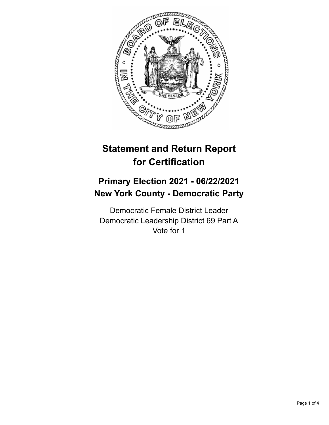

# **Statement and Return Report for Certification**

## **Primary Election 2021 - 06/22/2021 New York County - Democratic Party**

Democratic Female District Leader Democratic Leadership District 69 Part A Vote for 1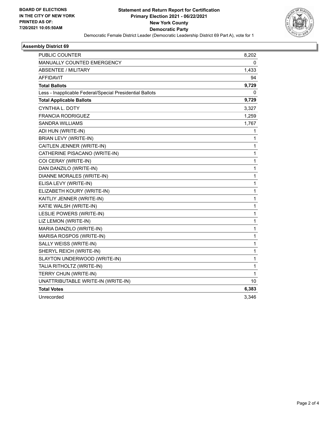

#### **Assembly District 69**

| PUBLIC COUNTER                                           | 8,202        |
|----------------------------------------------------------|--------------|
| <b>MANUALLY COUNTED EMERGENCY</b>                        | 0            |
| ABSENTEE / MILITARY                                      | 1,433        |
| AFFIDAVIT                                                | 94           |
| <b>Total Ballots</b>                                     | 9,729        |
| Less - Inapplicable Federal/Special Presidential Ballots | 0            |
| <b>Total Applicable Ballots</b>                          | 9,729        |
| <b>CYNTHIA L. DOTY</b>                                   | 3,327        |
| <b>FRANCIA RODRIGUEZ</b>                                 | 1,259        |
| SANDRA WILLIAMS                                          | 1,767        |
| ADI HUN (WRITE-IN)                                       | 1            |
| BRIAN LEVY (WRITE-IN)                                    | 1            |
| CAITLEN JENNER (WRITE-IN)                                | 1            |
| CATHERINE PISACANO (WRITE-IN)                            | 1            |
| COI CERAY (WRITE-IN)                                     | 1            |
| DAN DANZILO (WRITE-IN)                                   | 1            |
| DIANNE MORALES (WRITE-IN)                                | 1            |
| ELISA LEVY (WRITE-IN)                                    | 1            |
| ELIZABETH KOURY (WRITE-IN)                               | 1            |
| KAITLIY JENNER (WRITE-IN)                                | $\mathbf{1}$ |
| KATIE WALSH (WRITE-IN)                                   | 1            |
| LESLIE POWERS (WRITE-IN)                                 | 1            |
| LIZ LEMON (WRITE-IN)                                     | 1            |
| MARIA DANZILO (WRITE-IN)                                 | 1            |
| MARISA ROSPOS (WRITE-IN)                                 | 1            |
| SALLY WEISS (WRITE-IN)                                   | 1            |
| SHERYL REICH (WRITE-IN)                                  | 1            |
| SLAYTON UNDERWOOD (WRITE-IN)                             | $\mathbf{1}$ |
| TALIA RITHOLTZ (WRITE-IN)                                | 1            |
| TERRY CHUN (WRITE-IN)                                    | 1            |
| UNATTRIBUTABLE WRITE-IN (WRITE-IN)                       | 10           |
| <b>Total Votes</b>                                       | 6,383        |
| Unrecorded                                               | 3,346        |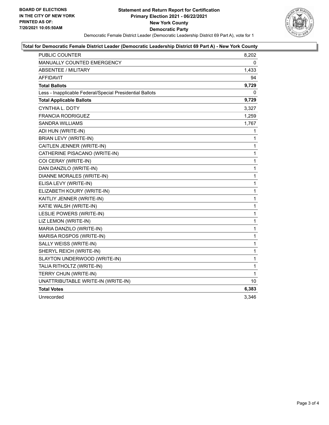

#### **Total for Democratic Female District Leader (Democratic Leadership District 69 Part A) - New York County**

| <b>PUBLIC COUNTER</b>                                    | 8,202        |
|----------------------------------------------------------|--------------|
| MANUALLY COUNTED EMERGENCY                               | 0            |
| <b>ABSENTEE / MILITARY</b>                               | 1,433        |
| AFFIDAVIT                                                | 94           |
| <b>Total Ballots</b>                                     | 9,729        |
| Less - Inapplicable Federal/Special Presidential Ballots | 0            |
| <b>Total Applicable Ballots</b>                          | 9,729        |
| <b>CYNTHIA L. DOTY</b>                                   | 3,327        |
| <b>FRANCIA RODRIGUEZ</b>                                 | 1,259        |
| <b>SANDRA WILLIAMS</b>                                   | 1,767        |
| ADI HUN (WRITE-IN)                                       | 1            |
| <b>BRIAN LEVY (WRITE-IN)</b>                             | $\mathbf{1}$ |
| CAITLEN JENNER (WRITE-IN)                                | 1            |
| CATHERINE PISACANO (WRITE-IN)                            | $\mathbf{1}$ |
| COI CERAY (WRITE-IN)                                     | $\mathbf{1}$ |
| DAN DANZILO (WRITE-IN)                                   | $\mathbf{1}$ |
| DIANNE MORALES (WRITE-IN)                                | $\mathbf{1}$ |
| ELISA LEVY (WRITE-IN)                                    | 1            |
| ELIZABETH KOURY (WRITE-IN)                               | $\mathbf{1}$ |
| KAITLIY JENNER (WRITE-IN)                                | $\mathbf{1}$ |
| KATIE WALSH (WRITE-IN)                                   | 1            |
| LESLIE POWERS (WRITE-IN)                                 | $\mathbf{1}$ |
| LIZ LEMON (WRITE-IN)                                     | 1            |
| MARIA DANZILO (WRITE-IN)                                 | 1            |
| MARISA ROSPOS (WRITE-IN)                                 | $\mathbf{1}$ |
| SALLY WEISS (WRITE-IN)                                   | 1            |
| SHERYL REICH (WRITE-IN)                                  | 1            |
| SLAYTON UNDERWOOD (WRITE-IN)                             | 1            |
| TALIA RITHOLTZ (WRITE-IN)                                | 1            |
| TERRY CHUN (WRITE-IN)                                    | 1            |
| UNATTRIBUTABLE WRITE-IN (WRITE-IN)                       | 10           |
| <b>Total Votes</b>                                       | 6,383        |
| Unrecorded                                               | 3,346        |